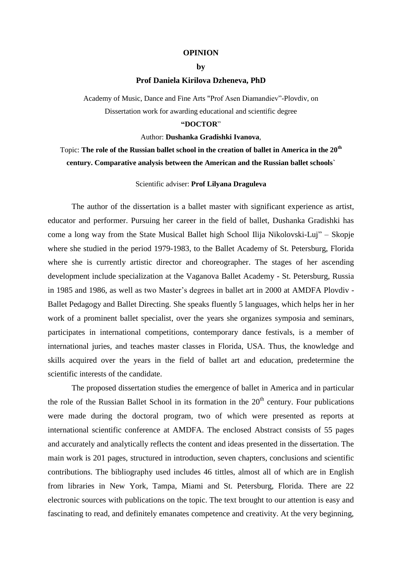#### **OPINION**

### **by**

## **Prof Daniela Kirilova Dzheneva, PhD**

Academy of Music, Dance and Fine Arts "Prof Asen Diamandiev"-Plovdiv, on Dissertation work for awarding educational and scientific degree

# **"DOCTOR**"

## Author: **Dushanka Gradishki Ivanova**,

# Topic: **The role of the Russian ballet school in the creation of ballet in America in the 20th century. Comparative analysis between the American and the Russian ballet schools`**

# Scientific adviser: **Prof Lilyana Draguleva**

The author of the dissertation is a ballet master with significant experience as artist, educator and performer. Pursuing her career in the field of ballet, Dushanka Gradishki has come a long way from the State Musical Ballet high School Ilija Nikolovski-Luj" – Skopje where she studied in the period 1979-1983, to the Ballet Academy of St. Petersburg, Florida where she is currently artistic director and choreographer. The stages of her ascending development include specialization at the Vaganova Ballet Academy - St. Petersburg, Russia in 1985 and 1986, as well as two Master's degrees in ballet art in 2000 at AMDFA Plovdiv - Ballet Pedagogy and Ballet Directing. She speaks fluently 5 languages, which helps her in her work of a prominent ballet specialist, over the years she organizes symposia and seminars, participates in international competitions, contemporary dance festivals, is a member of international juries, and teaches master classes in Florida, USA. Thus, the knowledge and skills acquired over the years in the field of ballet art and education, predetermine the scientific interests of the candidate.

The proposed dissertation studies the emergence of ballet in America and in particular the role of the Russian Ballet School in its formation in the  $20<sup>th</sup>$  century. Four publications were made during the doctoral program, two of which were presented as reports at international scientific conference at AMDFA. The enclosed Abstract consists of 55 pages and accurately and analytically reflects the content and ideas presented in the dissertation. The main work is 201 pages, structured in introduction, seven chapters, conclusions and scientific contributions. The bibliography used includes 46 tittles, almost all of which are in English from libraries in New York, Tampa, Miami and St. Petersburg, Florida. There are 22 electronic sources with publications on the topic. The text brought to our attention is easy and fascinating to read, and definitely emanates competence and creativity. At the very beginning,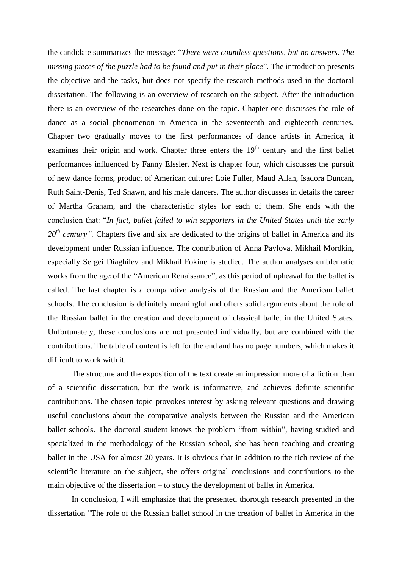the candidate summarizes the message: "*There were countless questions, but no answers. The missing pieces of the puzzle had to be found and put in their place*". The introduction presents the objective and the tasks, but does not specify the research methods used in the doctoral dissertation. The following is an overview of research on the subject. After the introduction there is an overview of the researches done on the topic. Chapter one discusses the role of dance as a social phenomenon in America in the seventeenth and eighteenth centuries. Chapter two gradually moves to the first performances of dance artists in America, it examines their origin and work. Chapter three enters the  $19<sup>th</sup>$  century and the first ballet performances influenced by Fanny Elssler. Next is chapter four, which discusses the pursuit of new dance forms, product of American culture: Loie Fuller, Maud Allan, Isadora Duncan, Ruth Saint-Denis, Ted Shawn, and his male dancers. The author discusses in details the career of Martha Graham, and the characteristic styles for each of them. She ends with the conclusion that: "*In fact, ballet failed to win supporters in the United States until the early*  20<sup>th</sup> century". Chapters five and six are dedicated to the origins of ballet in America and its development under Russian influence. The contribution of Anna Pavlova, Mikhail Mordkin, especially Sergei Diaghilev and Mikhail Fokine is studied. The author analyses emblematic works from the age of the "American Renaissance", as this period of upheaval for the ballet is called. The last chapter is a comparative analysis of the Russian and the American ballet schools. The conclusion is definitely meaningful and offers solid arguments about the role of the Russian ballet in the creation and development of classical ballet in the United States. Unfortunately, these conclusions are not presented individually, but are combined with the contributions. The table of content is left for the end and has no page numbers, which makes it difficult to work with it.

The structure and the exposition of the text create an impression more of a fiction than of a scientific dissertation, but the work is informative, and achieves definite scientific contributions. The chosen topic provokes interest by asking relevant questions and drawing useful conclusions about the comparative analysis between the Russian and the American ballet schools. The doctoral student knows the problem "from within", having studied and specialized in the methodology of the Russian school, she has been teaching and creating ballet in the USA for almost 20 years. It is obvious that in addition to the rich review of the scientific literature on the subject, she offers original conclusions and contributions to the main objective of the dissertation – to study the development of ballet in America.

In conclusion, I will emphasize that the presented thorough research presented in the dissertation "The role of the Russian ballet school in the creation of ballet in America in the